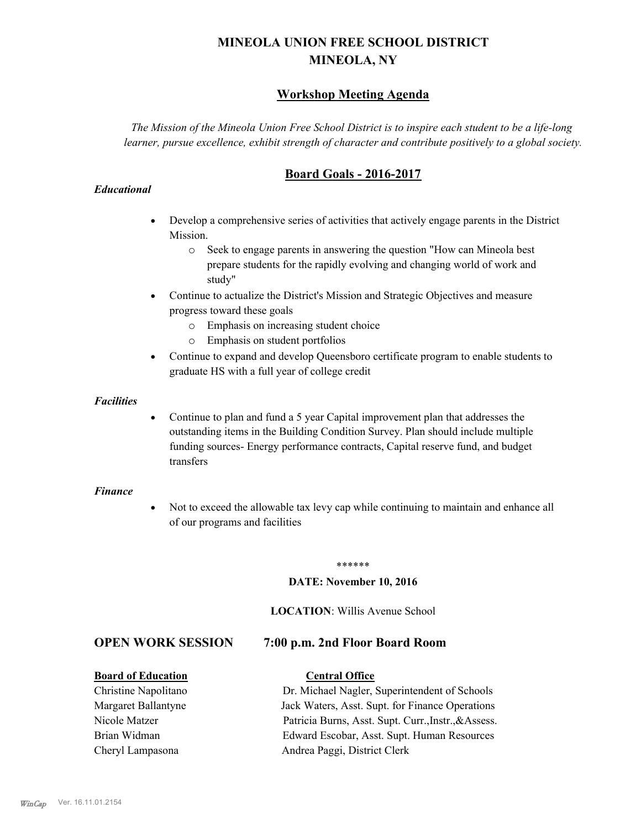# **MINEOLA UNION FREE SCHOOL DISTRICT MINEOLA, NY**

# **Workshop Meeting Agenda**

*The Mission of the Mineola Union Free School District is to inspire each student to be a life-long learner, pursue excellence, exhibit strength of character and contribute positively to a global society.*

# **Board Goals - 2016-2017**

#### *Educational*

- · Develop a comprehensive series of activities that actively engage parents in the District Mission.
	- o Seek to engage parents in answering the question "How can Mineola best prepare students for the rapidly evolving and changing world of work and study"
- · Continue to actualize the District's Mission and Strategic Objectives and measure progress toward these goals
	- o Emphasis on increasing student choice
	- o Emphasis on student portfolios
- · Continue to expand and develop Queensboro certificate program to enable students to graduate HS with a full year of college credit

#### *Facilities*

· Continue to plan and fund a 5 year Capital improvement plan that addresses the outstanding items in the Building Condition Survey. Plan should include multiple funding sources- Energy performance contracts, Capital reserve fund, and budget transfers

#### *Finance*

• Not to exceed the allowable tax levy cap while continuing to maintain and enhance all of our programs and facilities

#### \*\*\*\*\*\*

#### **DATE: November 10, 2016**

#### **LOCATION**: Willis Avenue School

### **OPEN WORK SESSION 7:00 p.m. 2nd Floor Board Room**

#### **Board of Education Central Office**

Christine Napolitano Dr. Michael Nagler, Superintendent of Schools Margaret Ballantyne Jack Waters, Asst. Supt. for Finance Operations Nicole Matzer Patricia Burns, Asst. Supt. Curr.,Instr.,&Assess. Brian Widman Edward Escobar, Asst. Supt. Human Resources Cheryl Lampasona Andrea Paggi, District Clerk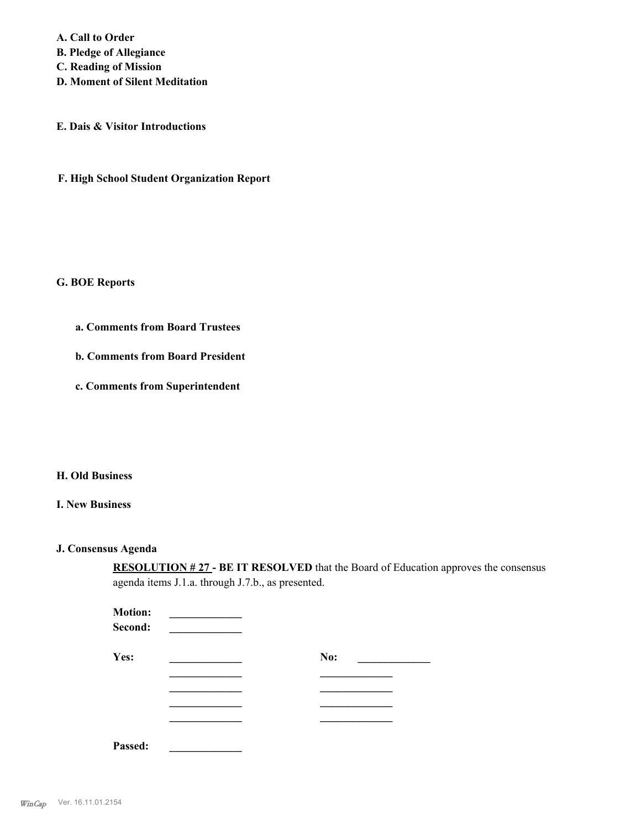**A. Call to Order B. Pledge of Allegiance C. Reading of Mission D. Moment of Silent Meditation**

**E. Dais & Visitor Introductions**

**F. High School Student Organization Report**

#### **G. BOE Reports**

- **a. Comments from Board Trustees**
- **b. Comments from Board President**
- **c. Comments from Superintendent**

### **H. Old Business**

#### **I. New Business**

#### **J. Consensus Agenda**

**RESOLUTION # 27 - BE IT RESOLVED** that the Board of Education approves the consensus agenda items J.1.a. through J.7.b., as presented.

| <b>Motion:</b><br>Second: |     |
|---------------------------|-----|
| Yes:                      | No: |
|                           |     |
|                           |     |
|                           |     |
|                           |     |
| Passed:                   |     |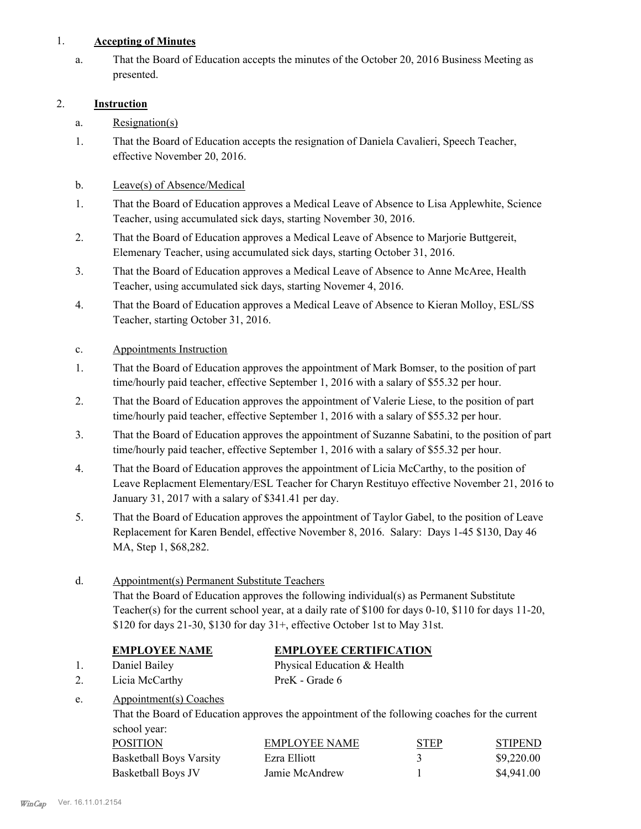## 1. **Accepting of Minutes**

That the Board of Education accepts the minutes of the October 20, 2016 Business Meeting as presented. a.

# 2. **Instruction**

- a. Resignation(s)
- That the Board of Education accepts the resignation of Daniela Cavalieri, Speech Teacher, effective November 20, 2016. 1.

# b. Leave(s) of Absence/Medical

- That the Board of Education approves a Medical Leave of Absence to Lisa Applewhite, Science Teacher, using accumulated sick days, starting November 30, 2016. 1.
- That the Board of Education approves a Medical Leave of Absence to Marjorie Buttgereit, Elemenary Teacher, using accumulated sick days, starting October 31, 2016. 2.
- That the Board of Education approves a Medical Leave of Absence to Anne McAree, Health Teacher, using accumulated sick days, starting Novemer 4, 2016. 3.
- That the Board of Education approves a Medical Leave of Absence to Kieran Molloy, ESL/SS Teacher, starting October 31, 2016. 4.
- c. Appointments Instruction
- That the Board of Education approves the appointment of Mark Bomser, to the position of part time/hourly paid teacher, effective September 1, 2016 with a salary of \$55.32 per hour. 1.
- That the Board of Education approves the appointment of Valerie Liese, to the position of part time/hourly paid teacher, effective September 1, 2016 with a salary of \$55.32 per hour. 2.
- That the Board of Education approves the appointment of Suzanne Sabatini, to the position of part time/hourly paid teacher, effective September 1, 2016 with a salary of \$55.32 per hour. 3.
- That the Board of Education approves the appointment of Licia McCarthy, to the position of Leave Replacment Elementary/ESL Teacher for Charyn Restituyo effective November 21, 2016 to January 31, 2017 with a salary of \$341.41 per day. 4.
- That the Board of Education approves the appointment of Taylor Gabel, to the position of Leave Replacement for Karen Bendel, effective November 8, 2016. Salary: Days 1-45 \$130, Day 46 MA, Step 1, \$68,282. 5.

# Appointment(s) Permanent Substitute Teachers That the Board of Education approves the following individual(s) as Permanent Substitute Teacher(s) for the current school year, at a daily rate of \$100 for days 0-10, \$110 for days 11-20, \$120 for days 21-30, \$130 for day 31+, effective October 1st to May 31st. d. **EMPLOYEE NAME EMPLOYEE CERTIFICATION** 1. Daniel Bailey Physical Education & Health 2. Licia McCarthy PreK - Grade 6 Appointment(s) Coaches That the Board of Education approves the appointment of the following coaches for the current school year: e.

| POSITION                       | EMPLOYEE NAME  | <b>STEP</b> | <b>STIPEND</b> |
|--------------------------------|----------------|-------------|----------------|
| <b>Basketball Boys Varsity</b> | Ezra Elliott   |             | \$9,220.00     |
| Basketball Boys JV             | Jamie McAndrew |             | \$4,941.00     |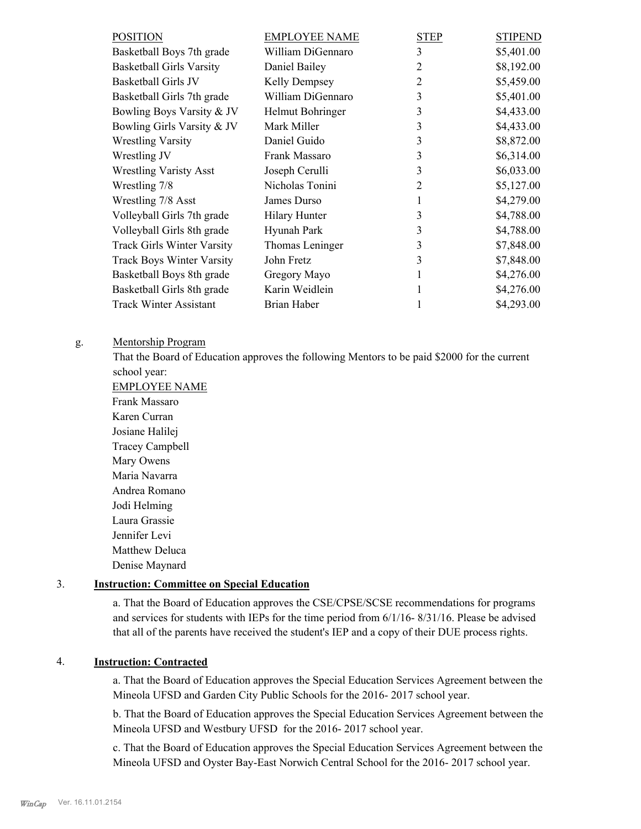| <b>POSITION</b>                   | <b>EMPLOYEE NAME</b> | STEP           | <b>STIPEND</b> |
|-----------------------------------|----------------------|----------------|----------------|
| Basketball Boys 7th grade         | William DiGennaro    | 3              | \$5,401.00     |
| <b>Basketball Girls Varsity</b>   | Daniel Bailey        | 2              | \$8,192.00     |
| <b>Basketball Girls JV</b>        | Kelly Dempsey        | 2              | \$5,459.00     |
| Basketball Girls 7th grade        | William DiGennaro    | 3              | \$5,401.00     |
| Bowling Boys Varsity & JV         | Helmut Bohringer     | 3              | \$4,433.00     |
| Bowling Girls Varsity & JV        | Mark Miller          | 3              | \$4,433.00     |
| <b>Wrestling Varsity</b>          | Daniel Guido         | 3              | \$8,872.00     |
| Wrestling JV                      | Frank Massaro        | 3              | \$6,314.00     |
| <b>Wrestling Varisty Asst</b>     | Joseph Cerulli       | 3              | \$6,033.00     |
| Wrestling 7/8                     | Nicholas Tonini      | $\overline{2}$ | \$5,127.00     |
| Wrestling 7/8 Asst                | James Durso          |                | \$4,279.00     |
| Volleyball Girls 7th grade        | <b>Hilary Hunter</b> | 3              | \$4,788.00     |
| Volleyball Girls 8th grade        | Hyunah Park          | 3              | \$4,788.00     |
| <b>Track Girls Winter Varsity</b> | Thomas Leninger      | 3              | \$7,848.00     |
| <b>Track Boys Winter Varsity</b>  | John Fretz           | 3              | \$7,848.00     |
| Basketball Boys 8th grade         | Gregory Mayo         |                | \$4,276.00     |
| Basketball Girls 8th grade        | Karin Weidlein       |                | \$4,276.00     |
| <b>Track Winter Assistant</b>     | Brian Haber          |                | \$4,293.00     |

#### Mentorship Program g.

That the Board of Education approves the following Mentors to be paid \$2000 for the current school year:

EMPLOYEE NAME Frank Massaro Karen Curran Josiane Halilej Tracey Campbell Mary Owens Maria Navarra Andrea Romano Jodi Helming Laura Grassie Jennifer Levi Matthew Deluca Denise Maynard

#### 3. **Instruction: Committee on Special Education**

a. That the Board of Education approves the CSE/CPSE/SCSE recommendations for programs and services for students with IEPs for the time period from 6/1/16- 8/31/16. Please be advised that all of the parents have received the student's IEP and a copy of their DUE process rights.

# 4. **Instruction: Contracted**

a. That the Board of Education approves the Special Education Services Agreement between the Mineola UFSD and Garden City Public Schools for the 2016- 2017 school year.

b. That the Board of Education approves the Special Education Services Agreement between the Mineola UFSD and Westbury UFSD for the 2016- 2017 school year.

c. That the Board of Education approves the Special Education Services Agreement between the Mineola UFSD and Oyster Bay-East Norwich Central School for the 2016- 2017 school year.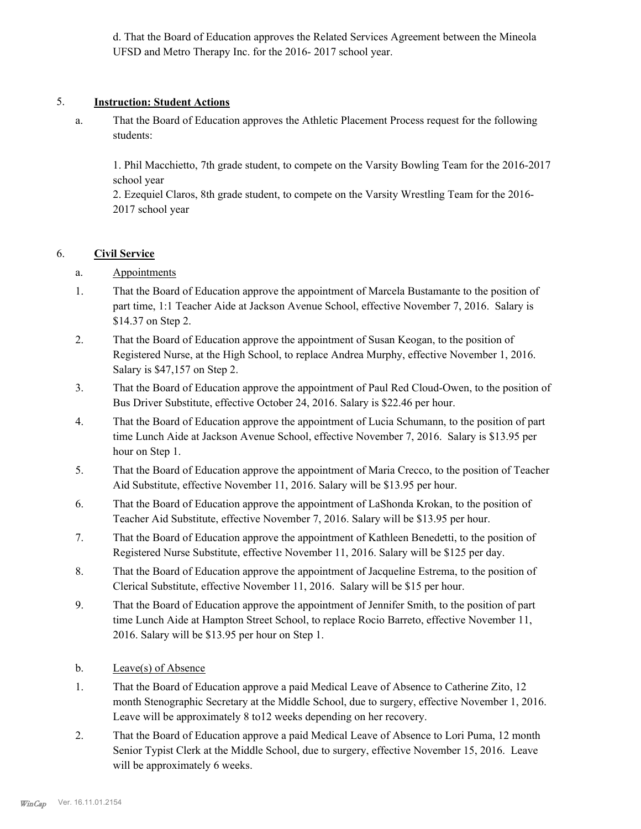d. That the Board of Education approves the Related Services Agreement between the Mineola UFSD and Metro Therapy Inc. for the 2016- 2017 school year.

#### 5. **Instruction: Student Actions**

That the Board of Education approves the Athletic Placement Process request for the following students: a.

1. Phil Macchietto, 7th grade student, to compete on the Varsity Bowling Team for the 2016-2017 school year

2. Ezequiel Claros, 8th grade student, to compete on the Varsity Wrestling Team for the 2016- 2017 school year

### 6. **Civil Service**

- a. Appointments
- That the Board of Education approve the appointment of Marcela Bustamante to the position of part time, 1:1 Teacher Aide at Jackson Avenue School, effective November 7, 2016. Salary is \$14.37 on Step 2. 1.
- That the Board of Education approve the appointment of Susan Keogan, to the position of Registered Nurse, at the High School, to replace Andrea Murphy, effective November 1, 2016. Salary is \$47,157 on Step 2. 2.
- That the Board of Education approve the appointment of Paul Red Cloud-Owen, to the position of Bus Driver Substitute, effective October 24, 2016. Salary is \$22.46 per hour. 3.
- That the Board of Education approve the appointment of Lucia Schumann, to the position of part time Lunch Aide at Jackson Avenue School, effective November 7, 2016. Salary is \$13.95 per hour on Step 1. 4.
- That the Board of Education approve the appointment of Maria Crecco, to the position of Teacher Aid Substitute, effective November 11, 2016. Salary will be \$13.95 per hour. 5.
- That the Board of Education approve the appointment of LaShonda Krokan, to the position of Teacher Aid Substitute, effective November 7, 2016. Salary will be \$13.95 per hour. 6.
- That the Board of Education approve the appointment of Kathleen Benedetti, to the position of Registered Nurse Substitute, effective November 11, 2016. Salary will be \$125 per day. 7.
- That the Board of Education approve the appointment of Jacqueline Estrema, to the position of Clerical Substitute, effective November 11, 2016. Salary will be \$15 per hour. 8.
- That the Board of Education approve the appointment of Jennifer Smith, to the position of part time Lunch Aide at Hampton Street School, to replace Rocio Barreto, effective November 11, 2016. Salary will be \$13.95 per hour on Step 1. 9.
- b. Leave(s) of Absence
- That the Board of Education approve a paid Medical Leave of Absence to Catherine Zito, 12 month Stenographic Secretary at the Middle School, due to surgery, effective November 1, 2016. Leave will be approximately 8 to12 weeks depending on her recovery. 1.
- That the Board of Education approve a paid Medical Leave of Absence to Lori Puma, 12 month Senior Typist Clerk at the Middle School, due to surgery, effective November 15, 2016. Leave will be approximately 6 weeks. 2.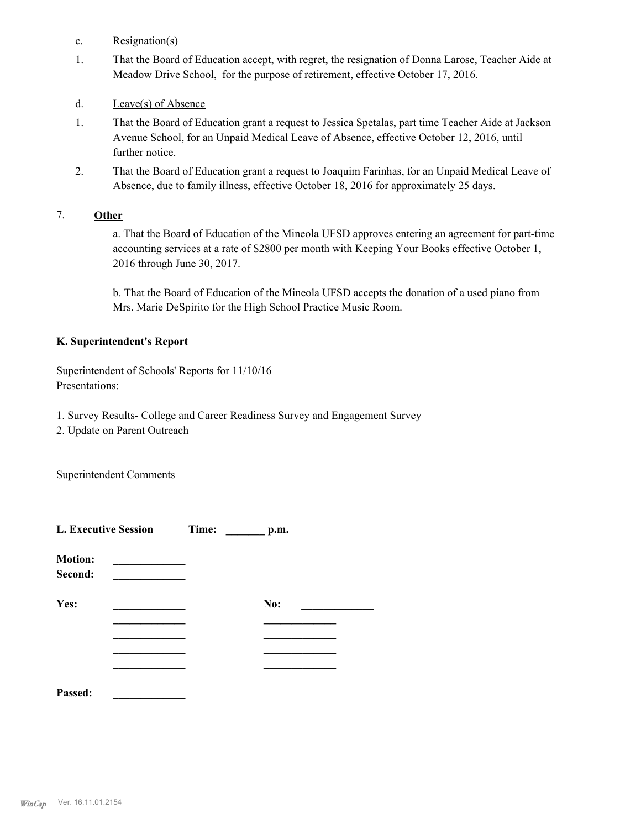- c. Resignation(s)
- That the Board of Education accept, with regret, the resignation of Donna Larose, Teacher Aide at Meadow Drive School, for the purpose of retirement, effective October 17, 2016. 1.
- d. Leave(s) of Absence
- That the Board of Education grant a request to Jessica Spetalas, part time Teacher Aide at Jackson Avenue School, for an Unpaid Medical Leave of Absence, effective October 12, 2016, until further notice. 1.
- That the Board of Education grant a request to Joaquim Farinhas, for an Unpaid Medical Leave of Absence, due to family illness, effective October 18, 2016 for approximately 25 days. 2.

### 7. **Other**

a. That the Board of Education of the Mineola UFSD approves entering an agreement for part-time accounting services at a rate of \$2800 per month with Keeping Your Books effective October 1, 2016 through June 30, 2017.

b. That the Board of Education of the Mineola UFSD accepts the donation of a used piano from Mrs. Marie DeSpirito for the High School Practice Music Room.

### **K. Superintendent's Report**

Superintendent of Schools' Reports for 11/10/16 Presentations:

- 1. Survey Results- College and Career Readiness Survey and Engagement Survey
- 2. Update on Parent Outreach

Superintendent Comments

| <b>L. Executive Session</b> |  | Time: | p.m. |  |
|-----------------------------|--|-------|------|--|
| <b>Motion:</b><br>Second:   |  |       |      |  |
| Yes:                        |  |       | No:  |  |
|                             |  |       |      |  |
|                             |  |       |      |  |
|                             |  |       |      |  |
| Passed:                     |  |       |      |  |